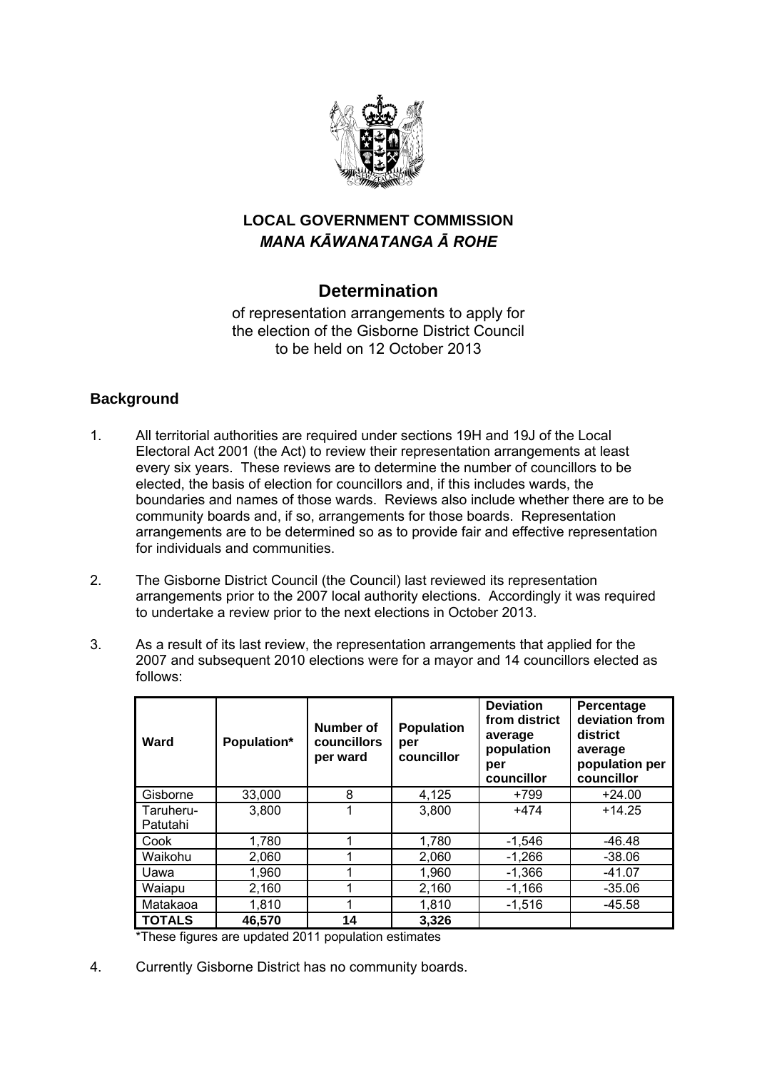

## **LOCAL GOVERNMENT COMMISSION**  *MANA KĀWANATANGA Ā ROHE*

## **Determination**

of representation arrangements to apply for the election of the Gisborne District Council to be held on 12 October 2013

### **Background**

- 1. All territorial authorities are required under sections 19H and 19J of the Local Electoral Act 2001 (the Act) to review their representation arrangements at least every six years. These reviews are to determine the number of councillors to be elected, the basis of election for councillors and, if this includes wards, the boundaries and names of those wards. Reviews also include whether there are to be community boards and, if so, arrangements for those boards. Representation arrangements are to be determined so as to provide fair and effective representation for individuals and communities.
- 2. The Gisborne District Council (the Council) last reviewed its representation arrangements prior to the 2007 local authority elections. Accordingly it was required to undertake a review prior to the next elections in October 2013.
- 3. As a result of its last review, the representation arrangements that applied for the 2007 and subsequent 2010 elections were for a mayor and 14 councillors elected as follows:

| Ward                  | Population* | Number of<br>councillors<br>per ward | <b>Population</b><br>per<br>councillor | <b>Deviation</b><br>from district<br>average<br>population<br>per<br>councillor | Percentage<br>deviation from<br>district<br>average<br>population per<br>councillor |
|-----------------------|-------------|--------------------------------------|----------------------------------------|---------------------------------------------------------------------------------|-------------------------------------------------------------------------------------|
| Gisborne              | 33,000      | 8                                    | 4,125                                  | +799                                                                            | $+24.00$                                                                            |
| Taruheru-<br>Patutahi | 3,800       |                                      | 3,800                                  | $+474$                                                                          | $+14.25$                                                                            |
| Cook                  | 1,780       |                                      | 1,780                                  | $-1,546$                                                                        | -46.48                                                                              |
| Waikohu               | 2,060       |                                      | 2,060                                  | $-1,266$                                                                        | $-38.06$                                                                            |
| Uawa                  | 1,960       |                                      | 1,960                                  | $-1,366$                                                                        | $-41.07$                                                                            |
| Waiapu                | 2,160       |                                      | 2,160                                  | $-1,166$                                                                        | $-35.06$                                                                            |
| Matakaoa              | 1,810       |                                      | 1,810                                  | $-1,516$                                                                        | $-45.58$                                                                            |
| <b>TOTALS</b>         | 46,570<br>. | 14                                   | 3,326                                  |                                                                                 |                                                                                     |

\*These figures are updated 2011 population estimates

4. Currently Gisborne District has no community boards.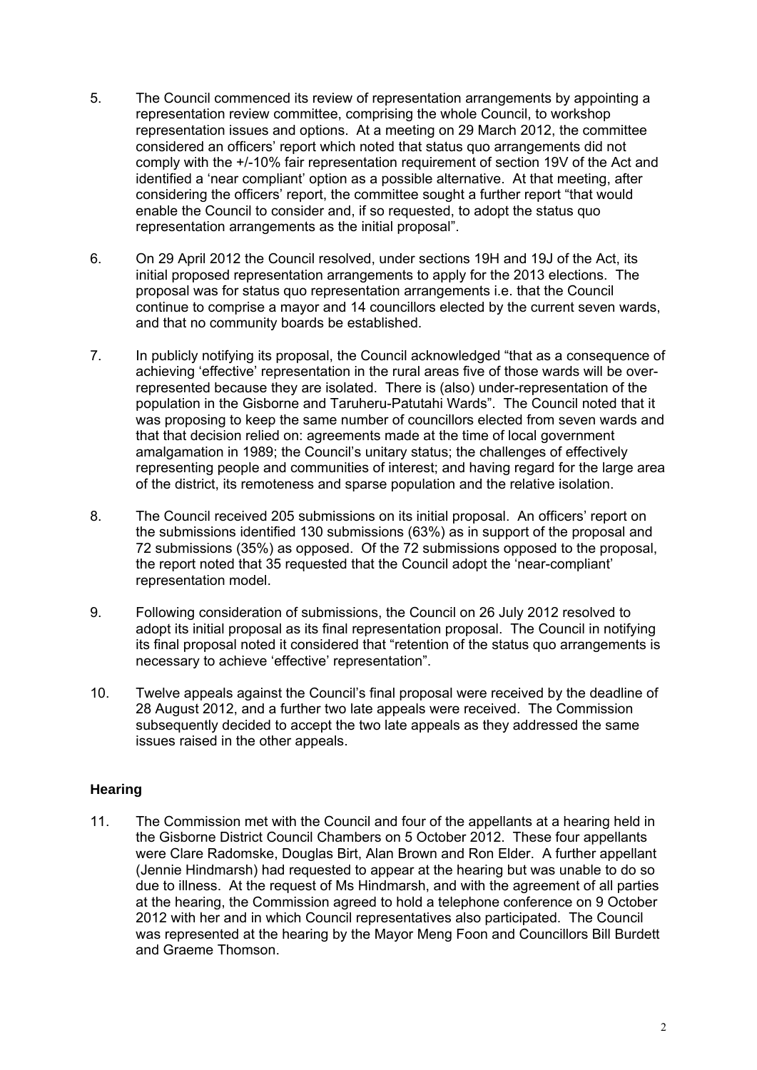- 5. The Council commenced its review of representation arrangements by appointing a representation review committee, comprising the whole Council, to workshop representation issues and options. At a meeting on 29 March 2012, the committee considered an officers' report which noted that status quo arrangements did not comply with the +/-10% fair representation requirement of section 19V of the Act and identified a 'near compliant' option as a possible alternative. At that meeting, after considering the officers' report, the committee sought a further report "that would enable the Council to consider and, if so requested, to adopt the status quo representation arrangements as the initial proposal".
- 6. On 29 April 2012 the Council resolved, under sections 19H and 19J of the Act, its initial proposed representation arrangements to apply for the 2013 elections. The proposal was for status quo representation arrangements i.e. that the Council continue to comprise a mayor and 14 councillors elected by the current seven wards, and that no community boards be established.
- 7. In publicly notifying its proposal, the Council acknowledged "that as a consequence of achieving 'effective' representation in the rural areas five of those wards will be overrepresented because they are isolated. There is (also) under-representation of the population in the Gisborne and Taruheru-Patutahi Wards". The Council noted that it was proposing to keep the same number of councillors elected from seven wards and that that decision relied on: agreements made at the time of local government amalgamation in 1989; the Council's unitary status; the challenges of effectively representing people and communities of interest; and having regard for the large area of the district, its remoteness and sparse population and the relative isolation.
- 8. The Council received 205 submissions on its initial proposal. An officers' report on the submissions identified 130 submissions (63%) as in support of the proposal and 72 submissions (35%) as opposed. Of the 72 submissions opposed to the proposal, the report noted that 35 requested that the Council adopt the 'near-compliant' representation model.
- 9. Following consideration of submissions, the Council on 26 July 2012 resolved to adopt its initial proposal as its final representation proposal. The Council in notifying its final proposal noted it considered that "retention of the status quo arrangements is necessary to achieve 'effective' representation".
- 10. Twelve appeals against the Council's final proposal were received by the deadline of 28 August 2012, and a further two late appeals were received. The Commission subsequently decided to accept the two late appeals as they addressed the same issues raised in the other appeals.

#### **Hearing**

11. The Commission met with the Council and four of the appellants at a hearing held in the Gisborne District Council Chambers on 5 October 2012. These four appellants were Clare Radomske, Douglas Birt, Alan Brown and Ron Elder. A further appellant (Jennie Hindmarsh) had requested to appear at the hearing but was unable to do so due to illness. At the request of Ms Hindmarsh, and with the agreement of all parties at the hearing, the Commission agreed to hold a telephone conference on 9 October 2012 with her and in which Council representatives also participated. The Council was represented at the hearing by the Mayor Meng Foon and Councillors Bill Burdett and Graeme Thomson.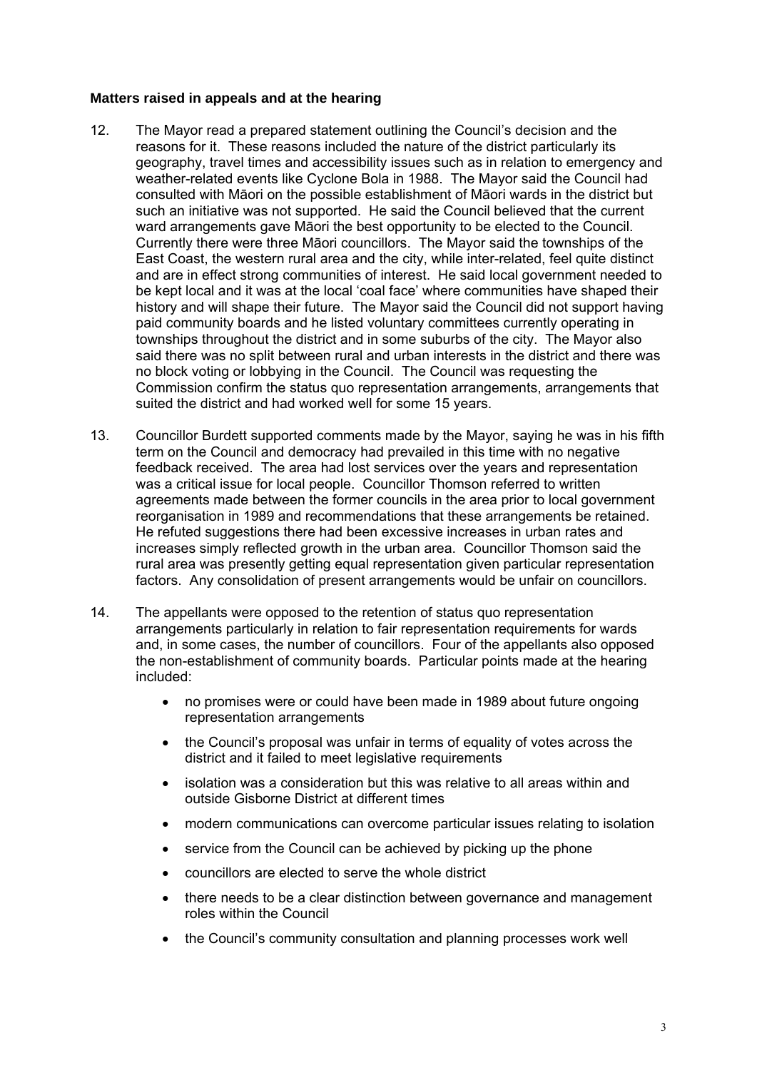#### **Matters raised in appeals and at the hearing**

- 12. The Mayor read a prepared statement outlining the Council's decision and the reasons for it. These reasons included the nature of the district particularly its geography, travel times and accessibility issues such as in relation to emergency and weather-related events like Cyclone Bola in 1988. The Mayor said the Council had consulted with Māori on the possible establishment of Māori wards in the district but such an initiative was not supported. He said the Council believed that the current ward arrangements gave Māori the best opportunity to be elected to the Council. Currently there were three Māori councillors. The Mayor said the townships of the East Coast, the western rural area and the city, while inter-related, feel quite distinct and are in effect strong communities of interest. He said local government needed to be kept local and it was at the local 'coal face' where communities have shaped their history and will shape their future. The Mayor said the Council did not support having paid community boards and he listed voluntary committees currently operating in townships throughout the district and in some suburbs of the city. The Mayor also said there was no split between rural and urban interests in the district and there was no block voting or lobbying in the Council. The Council was requesting the Commission confirm the status quo representation arrangements, arrangements that suited the district and had worked well for some 15 years.
- 13. Councillor Burdett supported comments made by the Mayor, saying he was in his fifth term on the Council and democracy had prevailed in this time with no negative feedback received. The area had lost services over the years and representation was a critical issue for local people. Councillor Thomson referred to written agreements made between the former councils in the area prior to local government reorganisation in 1989 and recommendations that these arrangements be retained. He refuted suggestions there had been excessive increases in urban rates and increases simply reflected growth in the urban area. Councillor Thomson said the rural area was presently getting equal representation given particular representation factors. Any consolidation of present arrangements would be unfair on councillors.
- 14. The appellants were opposed to the retention of status quo representation arrangements particularly in relation to fair representation requirements for wards and, in some cases, the number of councillors. Four of the appellants also opposed the non-establishment of community boards. Particular points made at the hearing included:
	- no promises were or could have been made in 1989 about future ongoing representation arrangements
	- the Council's proposal was unfair in terms of equality of votes across the district and it failed to meet legislative requirements
	- isolation was a consideration but this was relative to all areas within and outside Gisborne District at different times
	- modern communications can overcome particular issues relating to isolation
	- service from the Council can be achieved by picking up the phone
	- councillors are elected to serve the whole district
	- there needs to be a clear distinction between governance and management roles within the Council
	- the Council's community consultation and planning processes work well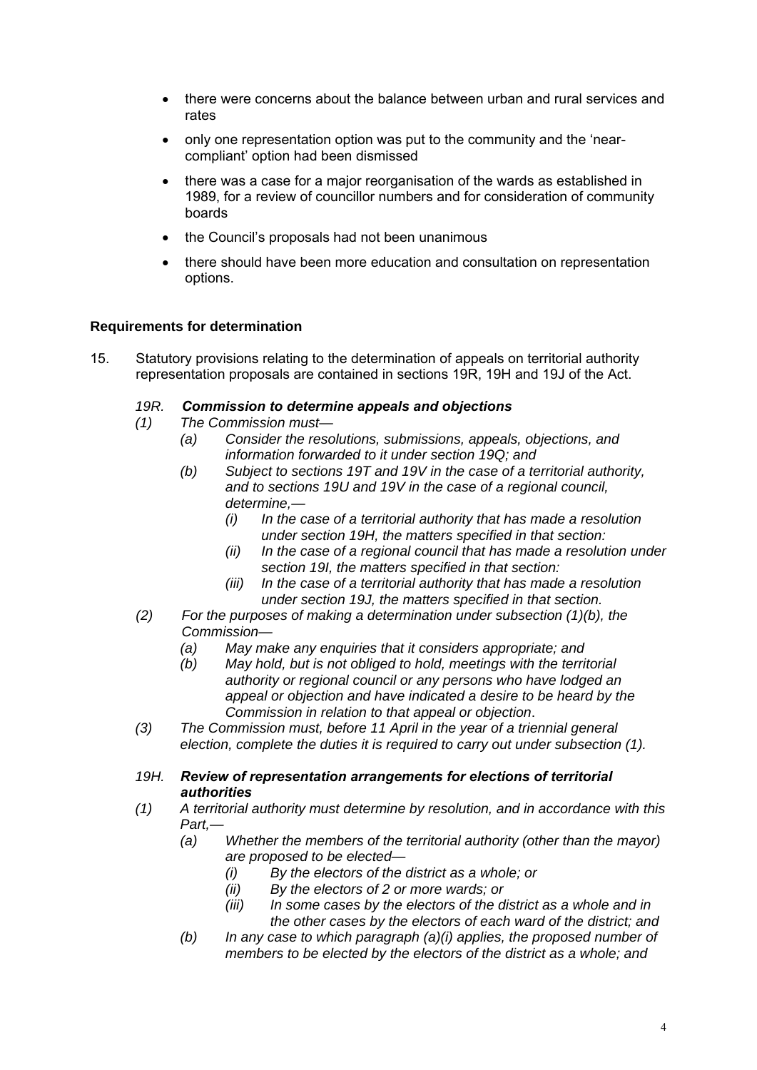- there were concerns about the balance between urban and rural services and rates
- only one representation option was put to the community and the 'nearcompliant' option had been dismissed
- there was a case for a major reorganisation of the wards as established in 1989, for a review of councillor numbers and for consideration of community boards
- the Council's proposals had not been unanimous
- there should have been more education and consultation on representation options.

#### **Requirements for determination**

15. Statutory provisions relating to the determination of appeals on territorial authority representation proposals are contained in sections 19R, 19H and 19J of the Act.

#### *19R. Commission to determine appeals and objections*

- *(1) The Commission must—* 
	- *(a) Consider the resolutions, submissions, appeals, objections, and information forwarded to it under section 19Q; and*
	- *(b) Subject to sections 19T and 19V in the case of a territorial authority, and to sections 19U and 19V in the case of a regional council, determine,—* 
		- *(i) In the case of a territorial authority that has made a resolution under section 19H, the matters specified in that section:*
		- *(ii) In the case of a regional council that has made a resolution under section 19I, the matters specified in that section:*
		- *(iii) In the case of a territorial authority that has made a resolution under section 19J, the matters specified in that section.*
- *(2) For the purposes of making a determination under subsection (1)(b), the Commission—* 
	- *(a) May make any enquiries that it considers appropriate; and*
	- *(b) May hold, but is not obliged to hold, meetings with the territorial authority or regional council or any persons who have lodged an appeal or objection and have indicated a desire to be heard by the Commission in relation to that appeal or objection*.
- *(3) The Commission must, before 11 April in the year of a triennial general election, complete the duties it is required to carry out under subsection (1).*
- *19H. Review of representation arrangements for elections of territorial authorities*
- *(1) A territorial authority must determine by resolution, and in accordance with this Part,—* 
	- *(a) Whether the members of the territorial authority (other than the mayor) are proposed to be elected—* 
		- *(i) By the electors of the district as a whole; or*
		- *(ii) By the electors of 2 or more wards; or*
		- *(iii) In some cases by the electors of the district as a whole and in the other cases by the electors of each ward of the district; and*
	- *(b) In any case to which paragraph (a)(i) applies, the proposed number of members to be elected by the electors of the district as a whole; and*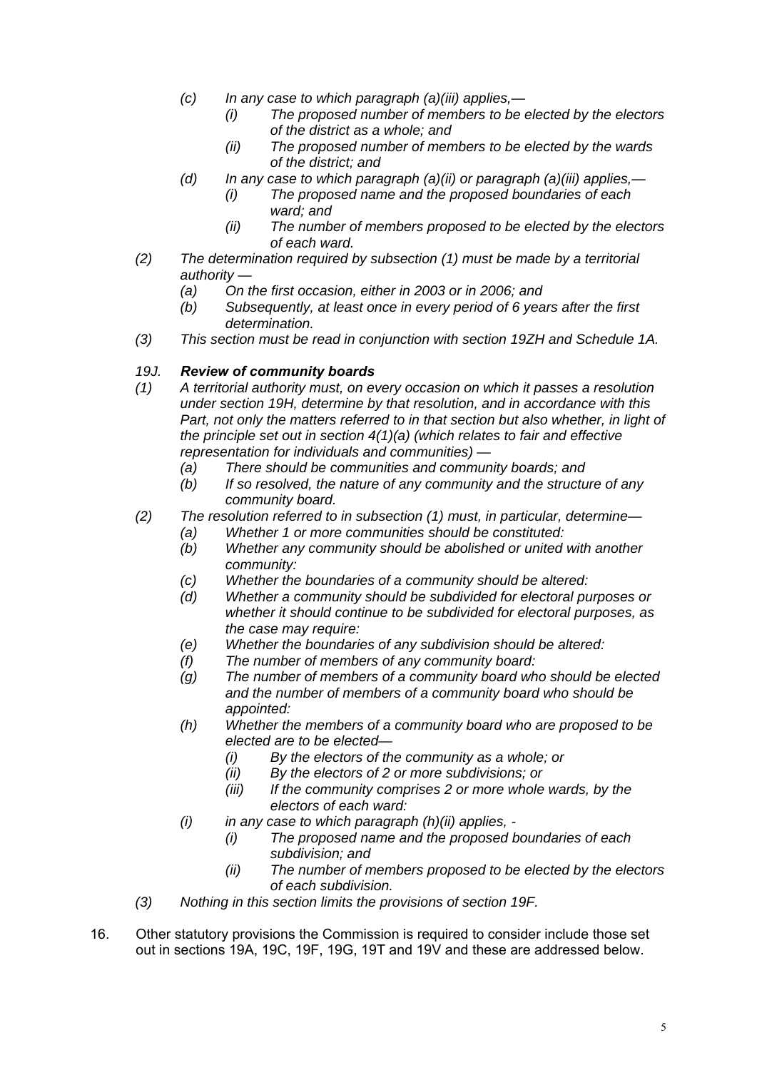- *(c) In any case to which paragraph (a)(iii) applies,—* 
	- *(i) The proposed number of members to be elected by the electors of the district as a whole; and*
	- *(ii) The proposed number of members to be elected by the wards of the district; and*
- *(d) In any case to which paragraph (a)(ii) or paragraph (a)(iii) applies,—* 
	- *(i) The proposed name and the proposed boundaries of each ward; and*
	- *(ii) The number of members proposed to be elected by the electors of each ward.*
- *(2) The determination required by subsection (1) must be made by a territorial authority —* 
	- *(a) On the first occasion, either in 2003 or in 2006; and*
	- *(b) Subsequently, at least once in every period of 6 years after the first determination.*
- *(3) This section must be read in conjunction with section 19ZH and Schedule 1A.*

#### *19J. Review of community boards*

- *(1) A territorial authority must, on every occasion on which it passes a resolution under section 19H, determine by that resolution, and in accordance with this Part, not only the matters referred to in that section but also whether, in light of the principle set out in section 4(1)(a) (which relates to fair and effective representation for individuals and communities) —* 
	- *(a) There should be communities and community boards; and*
	- *(b) If so resolved, the nature of any community and the structure of any community board.*
- *(2) The resolution referred to in subsection (1) must, in particular, determine—* 
	- *(a) Whether 1 or more communities should be constituted:*
	- *(b) Whether any community should be abolished or united with another community:*
	- *(c) Whether the boundaries of a community should be altered:*
	- *(d) Whether a community should be subdivided for electoral purposes or whether it should continue to be subdivided for electoral purposes, as the case may require:*
	- *(e) Whether the boundaries of any subdivision should be altered:*
	- *(f) The number of members of any community board:*
	- *(g) The number of members of a community board who should be elected and the number of members of a community board who should be appointed:*
	- *(h) Whether the members of a community board who are proposed to be elected are to be elected—* 
		- *(i) By the electors of the community as a whole; or*
		- *(ii) By the electors of 2 or more subdivisions; or*
		- *(iii) If the community comprises 2 or more whole wards, by the electors of each ward:*
	- *(i) in any case to which paragraph (h)(ii) applies,* 
		- *(i) The proposed name and the proposed boundaries of each subdivision; and*
		- *(ii) The number of members proposed to be elected by the electors of each subdivision.*
- *(3) Nothing in this section limits the provisions of section 19F.*
- 16. Other statutory provisions the Commission is required to consider include those set out in sections 19A, 19C, 19F, 19G, 19T and 19V and these are addressed below.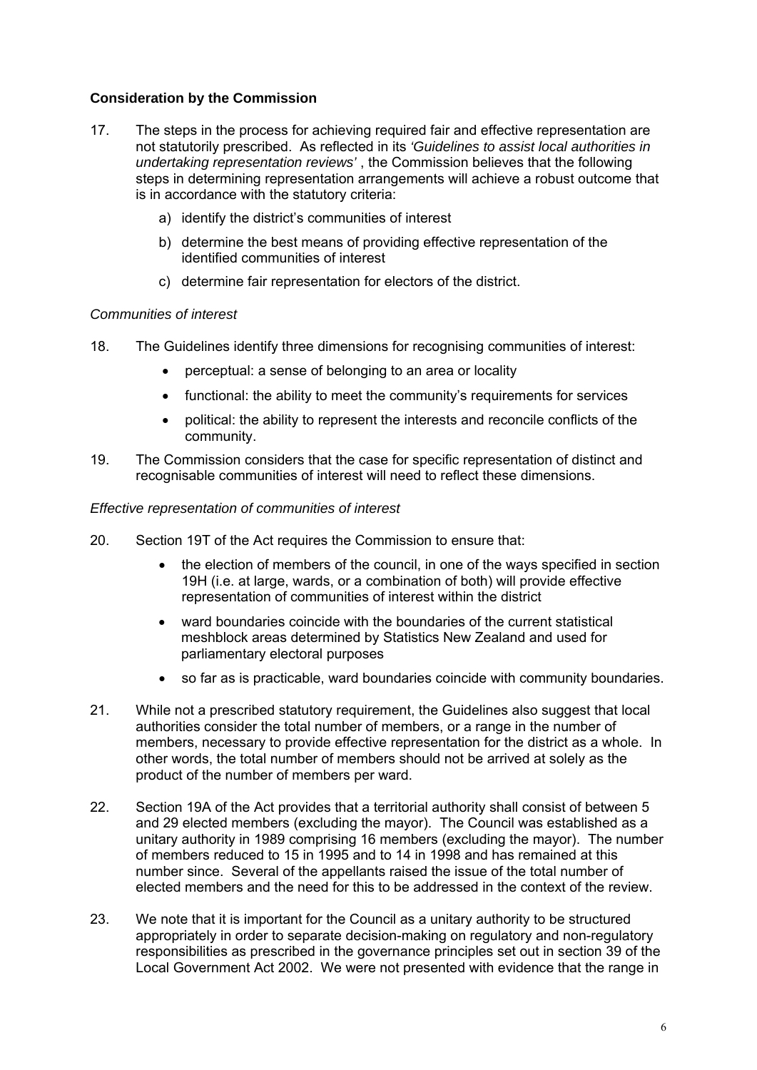#### **Consideration by the Commission**

- 17. The steps in the process for achieving required fair and effective representation are not statutorily prescribed. As reflected in its *'Guidelines to assist local authorities in undertaking representation reviews'* , the Commission believes that the following steps in determining representation arrangements will achieve a robust outcome that is in accordance with the statutory criteria:
	- a) identify the district's communities of interest
	- b) determine the best means of providing effective representation of the identified communities of interest
	- c) determine fair representation for electors of the district.

#### *Communities of interest*

- 18. The Guidelines identify three dimensions for recognising communities of interest:
	- perceptual: a sense of belonging to an area or locality
	- functional: the ability to meet the community's requirements for services
	- political: the ability to represent the interests and reconcile conflicts of the community.
- 19. The Commission considers that the case for specific representation of distinct and recognisable communities of interest will need to reflect these dimensions.

#### *Effective representation of communities of interest*

- 20. Section 19T of the Act requires the Commission to ensure that:
	- the election of members of the council, in one of the ways specified in section 19H (i.e. at large, wards, or a combination of both) will provide effective representation of communities of interest within the district
	- ward boundaries coincide with the boundaries of the current statistical meshblock areas determined by Statistics New Zealand and used for parliamentary electoral purposes
	- so far as is practicable, ward boundaries coincide with community boundaries.
- 21. While not a prescribed statutory requirement, the Guidelines also suggest that local authorities consider the total number of members, or a range in the number of members, necessary to provide effective representation for the district as a whole. In other words, the total number of members should not be arrived at solely as the product of the number of members per ward.
- 22. Section 19A of the Act provides that a territorial authority shall consist of between 5 and 29 elected members (excluding the mayor). The Council was established as a unitary authority in 1989 comprising 16 members (excluding the mayor). The number of members reduced to 15 in 1995 and to 14 in 1998 and has remained at this number since. Several of the appellants raised the issue of the total number of elected members and the need for this to be addressed in the context of the review.
- 23. We note that it is important for the Council as a unitary authority to be structured appropriately in order to separate decision-making on regulatory and non-regulatory responsibilities as prescribed in the governance principles set out in section 39 of the Local Government Act 2002. We were not presented with evidence that the range in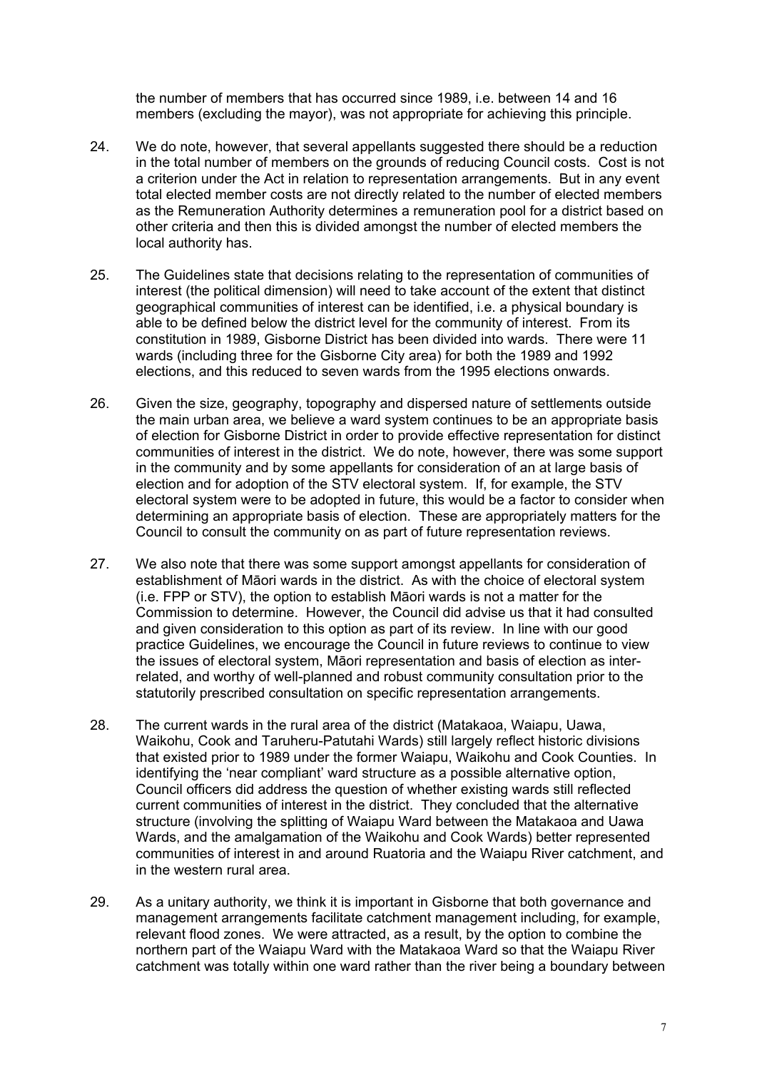the number of members that has occurred since 1989, i.e. between 14 and 16 members (excluding the mayor), was not appropriate for achieving this principle.

- 24. We do note, however, that several appellants suggested there should be a reduction in the total number of members on the grounds of reducing Council costs. Cost is not a criterion under the Act in relation to representation arrangements. But in any event total elected member costs are not directly related to the number of elected members as the Remuneration Authority determines a remuneration pool for a district based on other criteria and then this is divided amongst the number of elected members the local authority has.
- 25. The Guidelines state that decisions relating to the representation of communities of interest (the political dimension) will need to take account of the extent that distinct geographical communities of interest can be identified, i.e. a physical boundary is able to be defined below the district level for the community of interest. From its constitution in 1989, Gisborne District has been divided into wards. There were 11 wards (including three for the Gisborne City area) for both the 1989 and 1992 elections, and this reduced to seven wards from the 1995 elections onwards.
- 26. Given the size, geography, topography and dispersed nature of settlements outside the main urban area, we believe a ward system continues to be an appropriate basis of election for Gisborne District in order to provide effective representation for distinct communities of interest in the district. We do note, however, there was some support in the community and by some appellants for consideration of an at large basis of election and for adoption of the STV electoral system. If, for example, the STV electoral system were to be adopted in future, this would be a factor to consider when determining an appropriate basis of election. These are appropriately matters for the Council to consult the community on as part of future representation reviews.
- 27. We also note that there was some support amongst appellants for consideration of establishment of Māori wards in the district. As with the choice of electoral system (i.e. FPP or STV), the option to establish Māori wards is not a matter for the Commission to determine. However, the Council did advise us that it had consulted and given consideration to this option as part of its review. In line with our good practice Guidelines, we encourage the Council in future reviews to continue to view the issues of electoral system, Māori representation and basis of election as interrelated, and worthy of well-planned and robust community consultation prior to the statutorily prescribed consultation on specific representation arrangements.
- 28. The current wards in the rural area of the district (Matakaoa, Waiapu, Uawa, Waikohu, Cook and Taruheru-Patutahi Wards) still largely reflect historic divisions that existed prior to 1989 under the former Waiapu, Waikohu and Cook Counties. In identifying the 'near compliant' ward structure as a possible alternative option, Council officers did address the question of whether existing wards still reflected current communities of interest in the district. They concluded that the alternative structure (involving the splitting of Waiapu Ward between the Matakaoa and Uawa Wards, and the amalgamation of the Waikohu and Cook Wards) better represented communities of interest in and around Ruatoria and the Waiapu River catchment, and in the western rural area.
- 29. As a unitary authority, we think it is important in Gisborne that both governance and management arrangements facilitate catchment management including, for example, relevant flood zones. We were attracted, as a result, by the option to combine the northern part of the Waiapu Ward with the Matakaoa Ward so that the Waiapu River catchment was totally within one ward rather than the river being a boundary between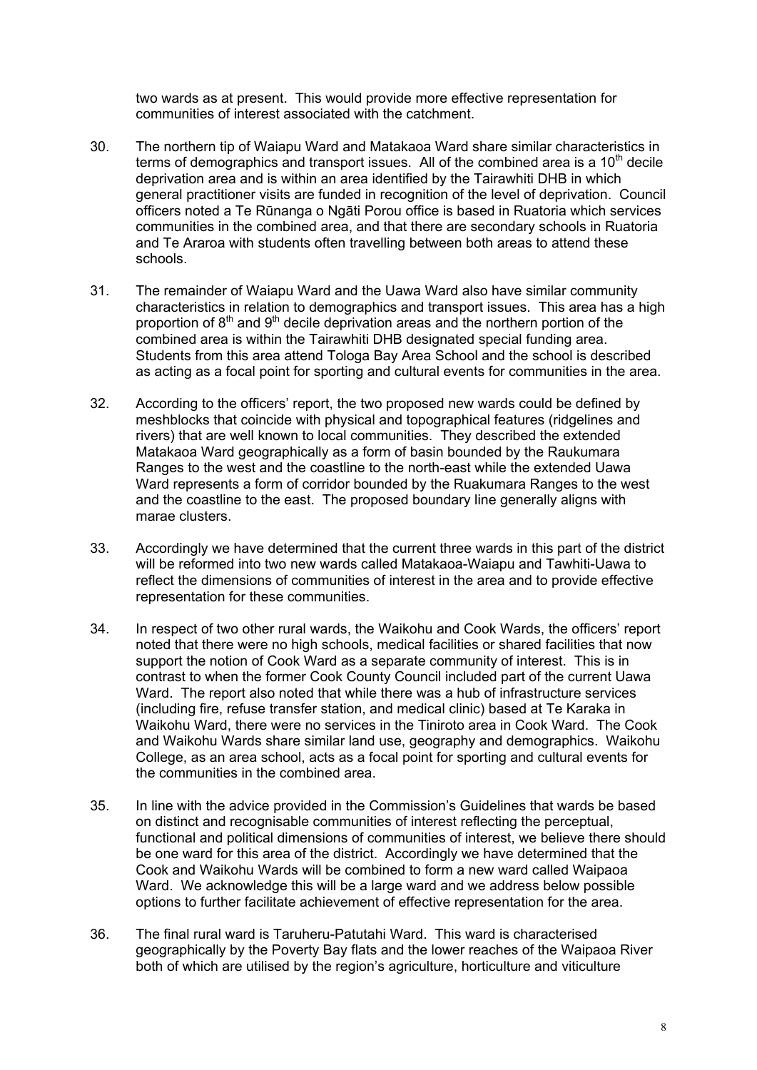two wards as at present. This would provide more effective representation for communities of interest associated with the catchment.

- 30. The northern tip of Waiapu Ward and Matakaoa Ward share similar characteristics in terms of demographics and transport issues. All of the combined area is a  $10<sup>th</sup>$  decile deprivation area and is within an area identified by the Tairawhiti DHB in which general practitioner visits are funded in recognition of the level of deprivation. Council officers noted a Te Rūnanga o Ngāti Porou office is based in Ruatoria which services communities in the combined area, and that there are secondary schools in Ruatoria and Te Araroa with students often travelling between both areas to attend these schools.
- 31. The remainder of Waiapu Ward and the Uawa Ward also have similar community characteristics in relation to demographics and transport issues. This area has a high proportion of  $8<sup>th</sup>$  and  $9<sup>th</sup>$  decile deprivation areas and the northern portion of the combined area is within the Tairawhiti DHB designated special funding area. Students from this area attend Tologa Bay Area School and the school is described as acting as a focal point for sporting and cultural events for communities in the area.
- 32. According to the officers' report, the two proposed new wards could be defined by meshblocks that coincide with physical and topographical features (ridgelines and rivers) that are well known to local communities. They described the extended Matakaoa Ward geographically as a form of basin bounded by the Raukumara Ranges to the west and the coastline to the north-east while the extended Uawa Ward represents a form of corridor bounded by the Ruakumara Ranges to the west and the coastline to the east. The proposed boundary line generally aligns with marae clusters.
- 33. Accordingly we have determined that the current three wards in this part of the district will be reformed into two new wards called Matakaoa-Waiapu and Tawhiti-Uawa to reflect the dimensions of communities of interest in the area and to provide effective representation for these communities.
- 34. In respect of two other rural wards, the Waikohu and Cook Wards, the officers' report noted that there were no high schools, medical facilities or shared facilities that now support the notion of Cook Ward as a separate community of interest. This is in contrast to when the former Cook County Council included part of the current Uawa Ward. The report also noted that while there was a hub of infrastructure services (including fire, refuse transfer station, and medical clinic) based at Te Karaka in Waikohu Ward, there were no services in the Tiniroto area in Cook Ward. The Cook and Waikohu Wards share similar land use, geography and demographics. Waikohu College, as an area school, acts as a focal point for sporting and cultural events for the communities in the combined area.
- 35. In line with the advice provided in the Commission's Guidelines that wards be based on distinct and recognisable communities of interest reflecting the perceptual, functional and political dimensions of communities of interest, we believe there should be one ward for this area of the district. Accordingly we have determined that the Cook and Waikohu Wards will be combined to form a new ward called Waipaoa Ward. We acknowledge this will be a large ward and we address below possible options to further facilitate achievement of effective representation for the area.
- 36. The final rural ward is Taruheru-Patutahi Ward. This ward is characterised geographically by the Poverty Bay flats and the lower reaches of the Waipaoa River both of which are utilised by the region's agriculture, horticulture and viticulture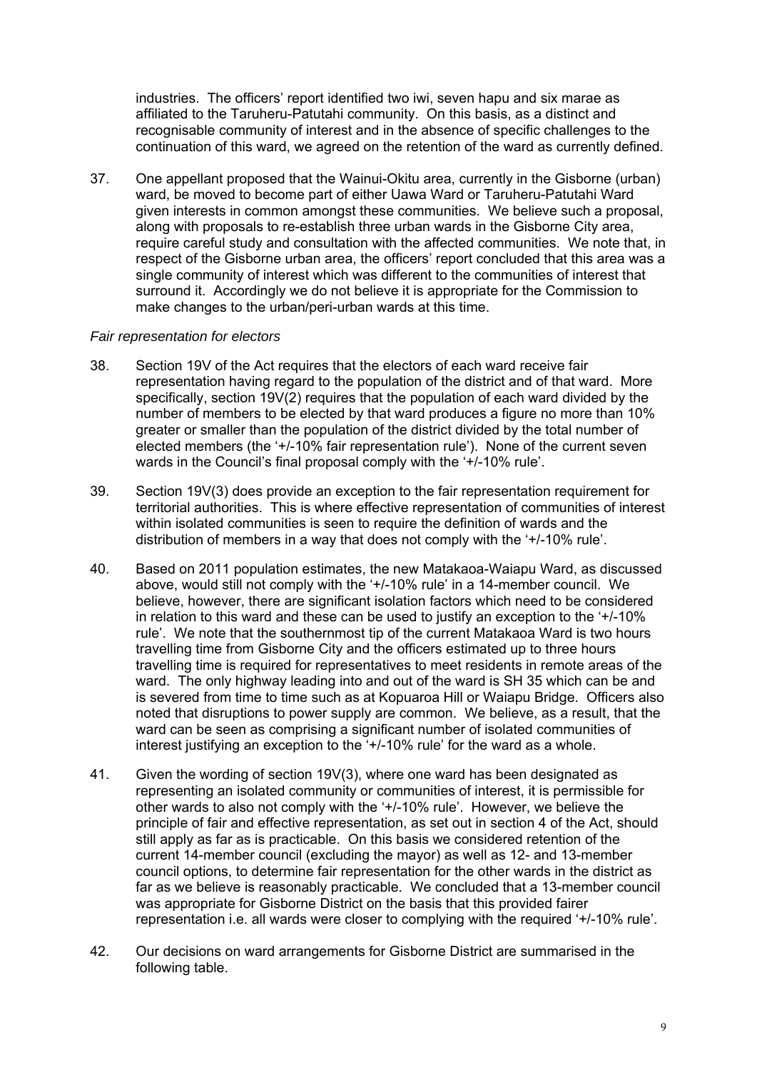industries. The officers' report identified two iwi, seven hapu and six marae as affiliated to the Taruheru-Patutahi community. On this basis, as a distinct and recognisable community of interest and in the absence of specific challenges to the continuation of this ward, we agreed on the retention of the ward as currently defined.

37. One appellant proposed that the Wainui-Okitu area, currently in the Gisborne (urban) ward, be moved to become part of either Uawa Ward or Taruheru-Patutahi Ward given interests in common amongst these communities. We believe such a proposal, along with proposals to re-establish three urban wards in the Gisborne City area, require careful study and consultation with the affected communities. We note that, in respect of the Gisborne urban area, the officers' report concluded that this area was a single community of interest which was different to the communities of interest that surround it. Accordingly we do not believe it is appropriate for the Commission to make changes to the urban/peri-urban wards at this time.

#### *Fair representation for electors*

- 38. Section 19V of the Act requires that the electors of each ward receive fair representation having regard to the population of the district and of that ward. More specifically, section 19V(2) requires that the population of each ward divided by the number of members to be elected by that ward produces a figure no more than 10% greater or smaller than the population of the district divided by the total number of elected members (the '+/-10% fair representation rule'). None of the current seven wards in the Council's final proposal comply with the '+/-10% rule'.
- 39. Section 19V(3) does provide an exception to the fair representation requirement for territorial authorities. This is where effective representation of communities of interest within isolated communities is seen to require the definition of wards and the distribution of members in a way that does not comply with the '+/-10% rule'.
- 40. Based on 2011 population estimates, the new Matakaoa-Waiapu Ward, as discussed above, would still not comply with the '+/-10% rule' in a 14-member council. We believe, however, there are significant isolation factors which need to be considered in relation to this ward and these can be used to justify an exception to the '+/-10% rule'. We note that the southernmost tip of the current Matakaoa Ward is two hours travelling time from Gisborne City and the officers estimated up to three hours travelling time is required for representatives to meet residents in remote areas of the ward. The only highway leading into and out of the ward is SH 35 which can be and is severed from time to time such as at Kopuaroa Hill or Waiapu Bridge. Officers also noted that disruptions to power supply are common. We believe, as a result, that the ward can be seen as comprising a significant number of isolated communities of interest justifying an exception to the '+/-10% rule' for the ward as a whole.
- 41. Given the wording of section 19V(3), where one ward has been designated as representing an isolated community or communities of interest, it is permissible for other wards to also not comply with the '+/-10% rule'. However, we believe the principle of fair and effective representation, as set out in section 4 of the Act, should still apply as far as is practicable. On this basis we considered retention of the current 14-member council (excluding the mayor) as well as 12- and 13-member council options, to determine fair representation for the other wards in the district as far as we believe is reasonably practicable. We concluded that a 13-member council was appropriate for Gisborne District on the basis that this provided fairer representation i.e. all wards were closer to complying with the required '+/-10% rule'.
- 42. Our decisions on ward arrangements for Gisborne District are summarised in the following table.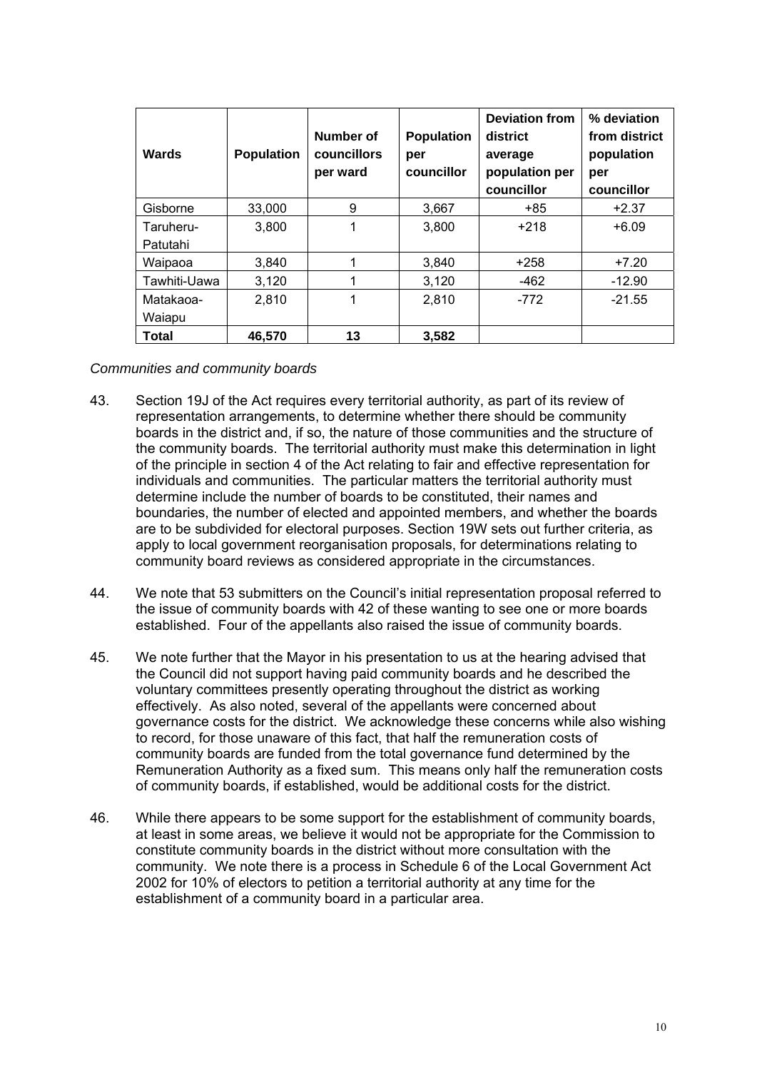| Wards        | <b>Population</b> | Number of<br><b>councillors</b><br>per ward | <b>Population</b><br>per<br>councillor | <b>Deviation from</b><br>district<br>average<br>population per<br>councillor | % deviation<br>from district<br>population<br>per<br>councillor |
|--------------|-------------------|---------------------------------------------|----------------------------------------|------------------------------------------------------------------------------|-----------------------------------------------------------------|
| Gisborne     | 33,000            | 9                                           | 3,667                                  | +85                                                                          | $+2.37$                                                         |
| Taruheru-    | 3,800             | 1                                           | 3,800                                  | $+218$                                                                       | $+6.09$                                                         |
| Patutahi     |                   |                                             |                                        |                                                                              |                                                                 |
| Waipaoa      | 3,840             |                                             | 3,840                                  | $+258$                                                                       | $+7.20$                                                         |
| Tawhiti-Uawa | 3,120             |                                             | 3,120                                  | -462                                                                         | $-12.90$                                                        |
| Matakaoa-    | 2,810             | 1                                           | 2,810                                  | $-772$                                                                       | $-21.55$                                                        |
| Waiapu       |                   |                                             |                                        |                                                                              |                                                                 |
| Total        | 46,570            | 13                                          | 3,582                                  |                                                                              |                                                                 |

#### *Communities and community boards*

- 43. Section 19J of the Act requires every territorial authority, as part of its review of representation arrangements, to determine whether there should be community boards in the district and, if so, the nature of those communities and the structure of the community boards. The territorial authority must make this determination in light of the principle in section 4 of the Act relating to fair and effective representation for individuals and communities. The particular matters the territorial authority must determine include the number of boards to be constituted, their names and boundaries, the number of elected and appointed members, and whether the boards are to be subdivided for electoral purposes. Section 19W sets out further criteria, as apply to local government reorganisation proposals, for determinations relating to community board reviews as considered appropriate in the circumstances.
- 44. We note that 53 submitters on the Council's initial representation proposal referred to the issue of community boards with 42 of these wanting to see one or more boards established. Four of the appellants also raised the issue of community boards.
- 45. We note further that the Mayor in his presentation to us at the hearing advised that the Council did not support having paid community boards and he described the voluntary committees presently operating throughout the district as working effectively. As also noted, several of the appellants were concerned about governance costs for the district. We acknowledge these concerns while also wishing to record, for those unaware of this fact, that half the remuneration costs of community boards are funded from the total governance fund determined by the Remuneration Authority as a fixed sum. This means only half the remuneration costs of community boards, if established, would be additional costs for the district.
- 46. While there appears to be some support for the establishment of community boards, at least in some areas, we believe it would not be appropriate for the Commission to constitute community boards in the district without more consultation with the community. We note there is a process in Schedule 6 of the Local Government Act 2002 for 10% of electors to petition a territorial authority at any time for the establishment of a community board in a particular area.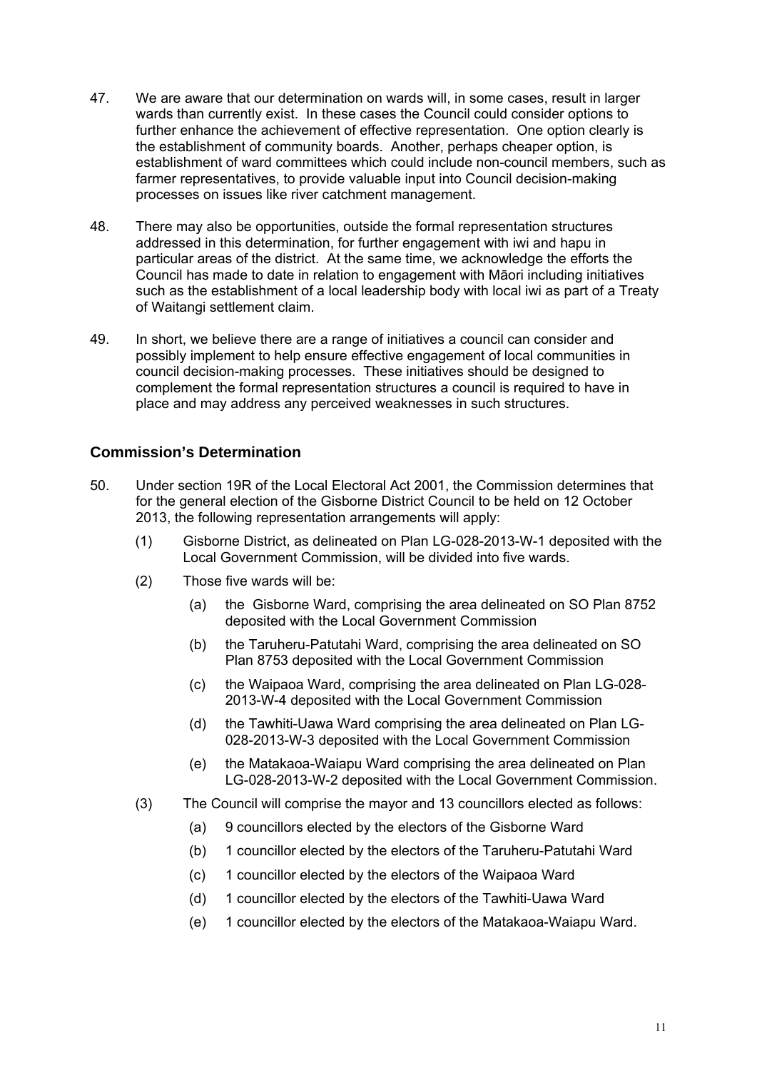- 47. We are aware that our determination on wards will, in some cases, result in larger wards than currently exist. In these cases the Council could consider options to further enhance the achievement of effective representation. One option clearly is the establishment of community boards. Another, perhaps cheaper option, is establishment of ward committees which could include non-council members, such as farmer representatives, to provide valuable input into Council decision-making processes on issues like river catchment management.
- 48. There may also be opportunities, outside the formal representation structures addressed in this determination, for further engagement with iwi and hapu in particular areas of the district. At the same time, we acknowledge the efforts the Council has made to date in relation to engagement with Māori including initiatives such as the establishment of a local leadership body with local iwi as part of a Treaty of Waitangi settlement claim.
- 49. In short, we believe there are a range of initiatives a council can consider and possibly implement to help ensure effective engagement of local communities in council decision-making processes. These initiatives should be designed to complement the formal representation structures a council is required to have in place and may address any perceived weaknesses in such structures.

#### **Commission's Determination**

- 50. Under section 19R of the Local Electoral Act 2001, the Commission determines that for the general election of the Gisborne District Council to be held on 12 October 2013, the following representation arrangements will apply:
	- (1) Gisborne District, as delineated on Plan LG-028-2013-W-1 deposited with the Local Government Commission, will be divided into five wards.
	- (2) Those five wards will be:
		- (a) the Gisborne Ward, comprising the area delineated on SO Plan 8752 deposited with the Local Government Commission
		- (b) the Taruheru-Patutahi Ward, comprising the area delineated on SO Plan 8753 deposited with the Local Government Commission
		- (c) the Waipaoa Ward, comprising the area delineated on Plan LG-028- 2013-W-4 deposited with the Local Government Commission
		- (d) the Tawhiti-Uawa Ward comprising the area delineated on Plan LG-028-2013-W-3 deposited with the Local Government Commission
		- (e) the Matakaoa-Waiapu Ward comprising the area delineated on Plan LG-028-2013-W-2 deposited with the Local Government Commission.
	- (3) The Council will comprise the mayor and 13 councillors elected as follows:
		- (a) 9 councillors elected by the electors of the Gisborne Ward
		- (b) 1 councillor elected by the electors of the Taruheru-Patutahi Ward
		- (c) 1 councillor elected by the electors of the Waipaoa Ward
		- (d) 1 councillor elected by the electors of the Tawhiti-Uawa Ward
		- (e) 1 councillor elected by the electors of the Matakaoa-Waiapu Ward.